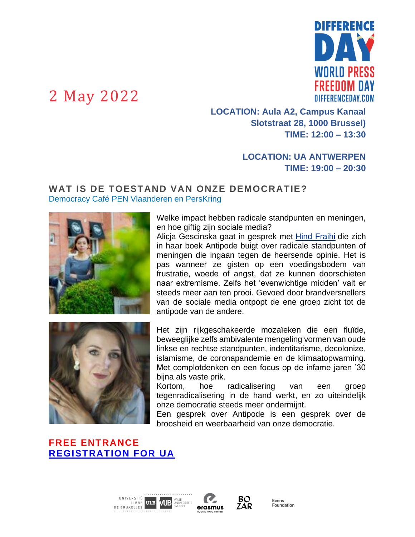

**LOCATION: Aula A2, Campus Kanaal Slotstraat 28, 1000 Brussel) TIME: 12:00 – 13:30**

#### **LOCATION: UA ANTWERPEN TIME: 19:00 – 20:30**

#### **WAT IS DE TOESTAND VAN ONZE DEMOCRATIE?** Democracy Café PEN Vlaanderen en PersKring



Welke impact hebben radicale standpunten en meningen, en hoe giftig zijn sociale media?

Alicja Gescinska gaat in gesprek met [Hind Fraihi](https://www.differenceday.com/bio-hind-fraihi/) die zich in haar boek Antipode buigt over radicale standpunten of meningen die ingaan tegen de heersende opinie. Het is pas wanneer ze gisten op een voedingsbodem van frustratie, woede of angst, dat ze kunnen doorschieten naar extremisme. Zelfs het 'evenwichtige midden' valt er steeds meer aan ten prooi. Gevoed door brandversnellers van de sociale media ontpopt de ene groep zicht tot de antipode van de andere.



Het zijn rijkgeschakeerde mozaïeken die een fluïde, beweeglijke zelfs ambivalente mengeling vormen van oude linkse en rechtse standpunten, indentitarisme, decolonize, islamisme, de coronapandemie en de klimaatopwarming. Met complotdenken en een focus op de infame jaren '30 bijna als vaste prik.

Kortom, hoe radicalisering van een groep tegenradicalisering in de hand werkt, en zo uiteindelijk onze democratie steeds meer ondermijnt.

Een gesprek over Antipode is een gesprek over de broosheid en weerbaarheid van onze democratie.

### **FREE ENTRANCE [REGISTRATION FOR UA](https://forms.uantwerpen.be/nl/facsw/democracy-cafe/)**





BO

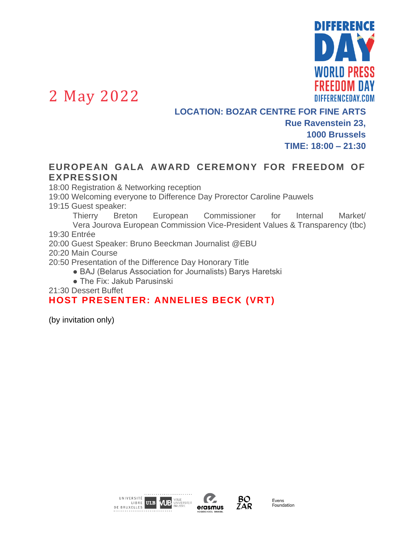

**LOCATION: BOZAR CENTRE FOR FINE ARTS Rue Ravenstein 23, 1000 Brussels TIME: 18:00 – 21:30**

#### **EUROPEAN GALA AWARD CEREMONY FOR FREEDOM OF EXPRESSION**

18:00 Registration & Networking reception

19:00 Welcoming everyone to Difference Day Prorector Caroline Pauwels

19:15 Guest speaker:

Thierry Breton European Commissioner for Internal Market/ Vera Jourova European Commission Vice-President Values & Transparency (tbc) 19:30 Entrée

20:00 Guest Speaker: Bruno Beeckman Journalist @EBU

20:20 Main Course

20:50 Presentation of the Difference Day Honorary Title

● BAJ (Belarus Association for Journalists) Barys Haretski

● The Fix: Jakub Parusinski

21:30 Dessert Buffet

#### **HOST PRESENTER: ANNELIES BECK (VRT)**

(by invitation only)





BO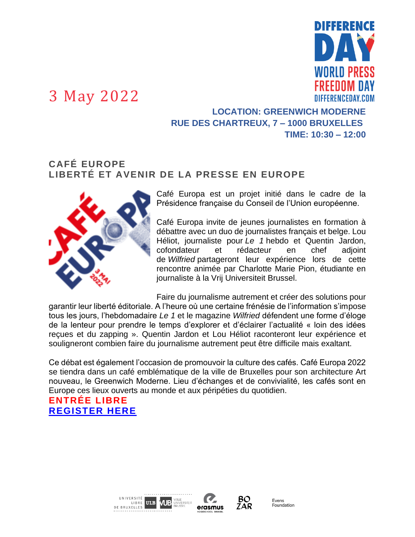# I SEERENGE WORLD PRESS FRFFNNM NAV **DIFFERENCEDAY COM**

## 3 May 2022

### **LOCATION: GREENWICH MODERNE RUE DES CHARTREUX, 7 – 1000 BRUXELLES TIME: 10:30 – 12:00**

#### **CAFÉ EUROPE LIBERTÉ ET AVENIR DE LA PRESSE EN EUROPE**



Café Europa est un projet initié dans le cadre de la Présidence française du Conseil de l'Union européenne.

Café Europa invite de jeunes journalistes en formation à débattre avec un duo de journalistes français et belge. Lou Héliot, journaliste pour *Le 1* hebdo et Quentin Jardon, cofondateur et rédacteur en chef adjoint de *Wilfried* partageront leur expérience lors de cette rencontre animée par Charlotte Marie Pion, étudiante en journaliste à la Vrij Universiteit Brussel.

Faire du journalisme autrement et créer des solutions pour garantir leur liberté éditoriale. A l'heure où une certaine frénésie de l'information s'impose tous les jours, l'hebdomadaire *Le 1* et le magazine *Wilfried* défendent une forme d'éloge de la lenteur pour prendre le temps d'explorer et d'éclairer l'actualité « loin des idées reçues et du zapping ». Quentin Jardon et Lou Héliot raconteront leur expérience et souligneront combien faire du journalisme autrement peut être difficile mais exaltant.

Ce débat est également l'occasion de promouvoir la culture des cafés. Café Europa 2022 se tiendra dans un café emblématique de la ville de Bruxelles pour son architecture Art nouveau, le Greenwich Moderne. Lieu d'échanges et de convivialité, les cafés sont en Europe ces lieux ouverts au monde et aux péripéties du quotidien.

### **ENTRÉE LIBRE [REGISTER HERE](https://bit.ly/cafe-europa-2022)**







BO

ZAR

Evono<br>Foundation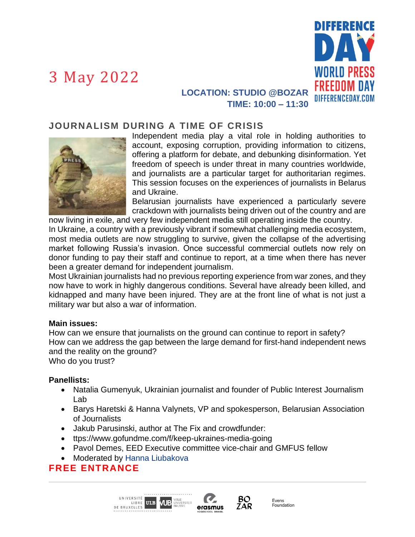

### **LOCATION: STUDIO @BOZAR TIME: 10:00 – 11:30**

#### **JOURNALISM DURING A TIME OF CRISIS**



Independent media play a vital role in holding authorities to account, exposing corruption, providing information to citizens, offering a platform for debate, and debunking disinformation. Yet freedom of speech is under threat in many countries worldwide, and journalists are a particular target for authoritarian regimes. This session focuses on the experiences of journalists in Belarus and Ukraine.

Belarusian journalists have experienced a particularly severe crackdown with journalists being driven out of the country and are now living in exile, and very few independent media still operating inside the country.

In Ukraine, a country with a previously vibrant if somewhat challenging media ecosystem, most media outlets are now struggling to survive, given the collapse of the advertising market following Russia's invasion. Once successful commercial outlets now rely on donor funding to pay their staff and continue to report, at a time when there has never been a greater demand for independent journalism.

Most Ukrainian journalists had no previous reporting experience from war zones, and they now have to work in highly dangerous conditions. Several have already been killed, and kidnapped and many have been injured. They are at the front line of what is not just a military war but also a war of information.

#### **Main issues:**

How can we ensure that journalists on the ground can continue to report in safety? How can we address the gap between the large demand for first-hand independent news and the reality on the ground?

Who do you trust?

#### **Panellists:**

- Natalia Gumenyuk, Ukrainian journalist and founder of Public Interest Journalism Lab
- Barys Haretski & Hanna Valynets, VP and spokesperson, Belarusian Association of Journalists
- Jakub Parusinski, author at The Fix and crowdfunder:
- ttps://www.gofundme.com/f/keep-ukraines-media-going
- Pavol Demes, EED Executive committee vice-chair and GMFUS fellow
- Moderated by [Hanna Liubakova](https://www.atlanticcouncil.org/expert/hanna-liubakova/)

#### **FREE ENTRANCE**

UNIVERSITÉ **VUB** UNIVERSITEIT LIBRE ULB DE BRUXELLES



BO

ZAR

**Fvens** Evens<br>Foundation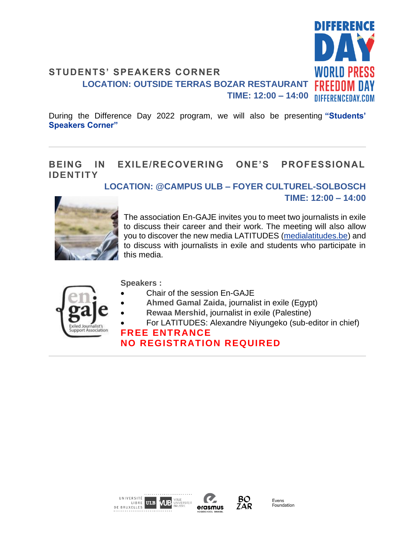

During the Difference Day 2022 program, we will also be presenting **["Students'](https://www.differenceday.com/speakers-corner/)  [Speakers Corner"](https://www.differenceday.com/speakers-corner/)**

### **BEING IN EXILE/RECOVERING ONE'S PROFESSIONAL IDENTITY**

**LOCATION: @CAMPUS ULB – FOYER CULTUREL-SOLBOSCH**



The association En-GAJE invites you to meet two journalists in exile to discuss their career and their work. The meeting will also allow you to discover the new media LATITUDES [\(medialatitudes.be\)](http://medialatitudes.be/) and to discuss with journalists in exile and students who participate in this media.

**TIME: 12:00 – 14:00**



**Speakers :**

- Chair of the session En-GAJE
- **Ahmed Gamal Zaida**, journalist in exile (Egypt)
- **Rewaa Mershid,** journalist in exile (Palestine)
- For LATITUDES: Alexandre Niyungeko (sub-editor in chief)

#### **FREE ENTRANCE NO REGISTRATION REQUIRED**





BO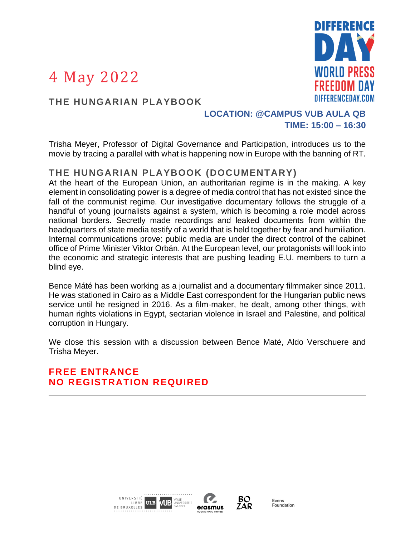

#### **THE HUNGARIAN PLAYBOOK**

#### **LOCATION: @CAMPUS VUB AULA QB TIME: 15:00 – 16:30**

Trisha Meyer, Professor of Digital Governance and Participation, introduces us to the movie by tracing a parallel with what is happening now in Europe with the banning of RT.

### **THE HUNGARIAN PLAYBOOK (DOCUMENTARY)**

At the heart of the European Union, an authoritarian regime is in the making. A key element in consolidating power is a degree of media control that has not existed since the fall of the communist regime. Our investigative documentary follows the struggle of a handful of young journalists against a system, which is becoming a role model across national borders. Secretly made recordings and leaked documents from within the headquarters of state media testify of a world that is held together by fear and humiliation. Internal communications prove: public media are under the direct control of the cabinet office of Prime Minister Viktor Orbán. At the European level, our protagonists will look into the economic and strategic interests that are pushing leading E.U. members to turn a blind eye.

Bence Máté has been working as a journalist and a documentary filmmaker since 2011. He was stationed in Cairo as a Middle East correspondent for the Hungarian public news service until he resigned in 2016. As a film-maker, he dealt, among other things, with human rights violations in Egypt, sectarian violence in Israel and Palestine, and political corruption in Hungary.

We close this session with a discussion between Bence Maté, Aldo Verschuere and Trisha Meyer.

**FREE ENTRANCE NO REGISTRATION REQUIRED**





BO